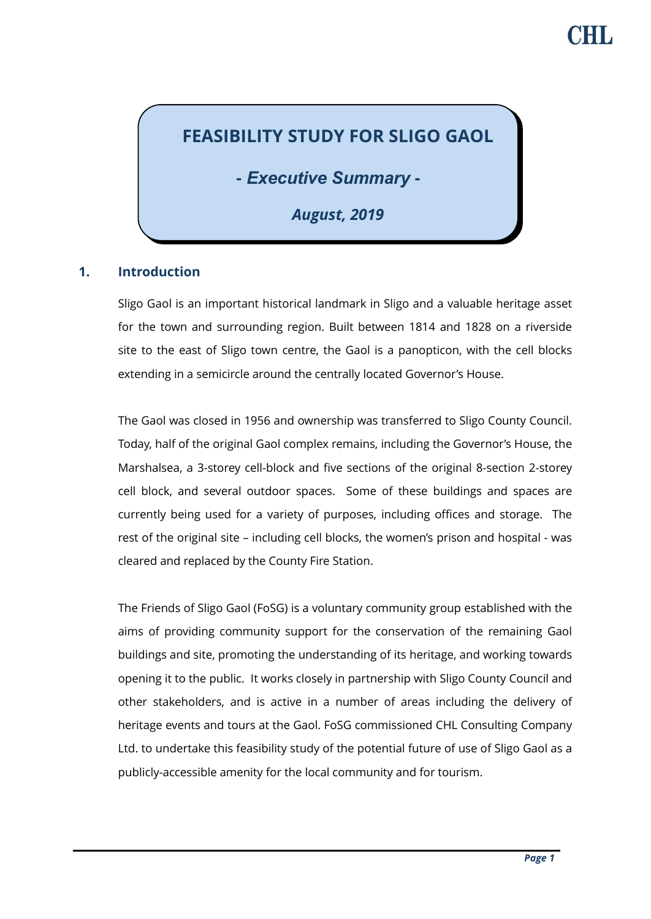# **FEASIBILITY STUDY FOR SLIGO GAOL**

**-** *Executive Summary* **-**

*August, 2019*

### **1. Introduction**

Sligo Gaol is an important historical landmark in Sligo and a valuable heritage asset for the town and surrounding region. Built between 1814 and 1828 on a riverside site to the east of Sligo town centre, the Gaol is a panopticon, with the cell blocks extending in a semicircle around the centrally located Governor's House.

The Gaol was closed in 1956 and ownership was transferred to Sligo County Council. Today, half of the original Gaol complex remains, including the Governor's House, the Marshalsea, a 3-storey cell-block and five sections of the original 8-section 2-storey cell block, and several outdoor spaces. Some of these buildings and spaces are currently being used for a variety of purposes, including offices and storage. The rest of the original site – including cell blocks, the women's prison and hospital - was cleared and replaced by the County Fire Station.

The Friends of Sligo Gaol (FoSG) is a voluntary community group established with the aims of providing community support for the conservation of the remaining Gaol buildings and site, promoting the understanding of its heritage, and working towards opening it to the public. It works closely in partnership with Sligo County Council and other stakeholders, and is active in a number of areas including the delivery of heritage events and tours at the Gaol. FoSG commissioned CHL Consulting Company Ltd. to undertake this feasibility study of the potential future of use of Sligo Gaol as a publicly-accessible amenity for the local community and for tourism.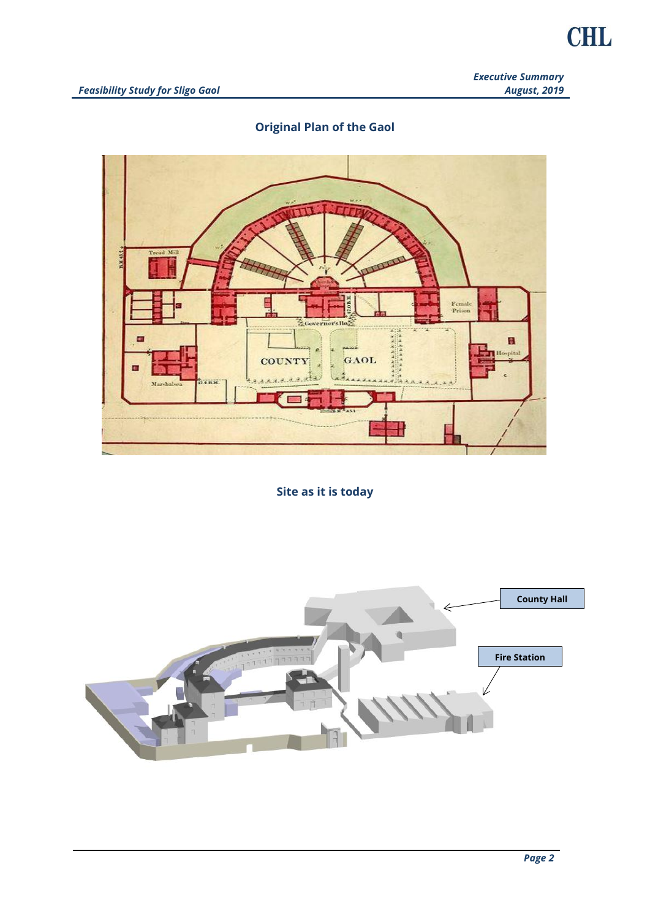*Executive Summary August, 2019*

## **Original Plan of the Gaol**



**Site as it is today**

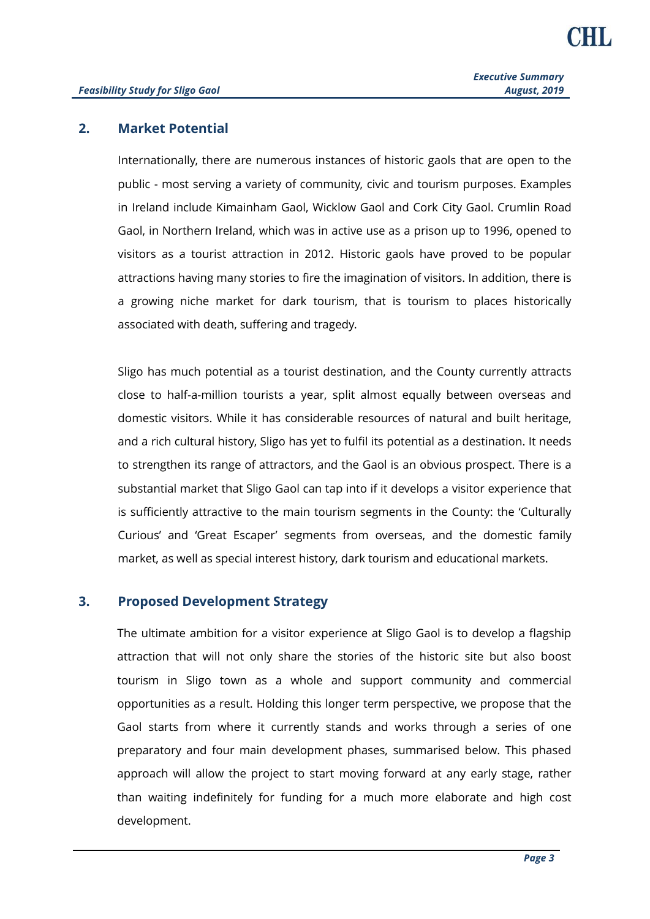#### **2. Market Potential**

Internationally, there are numerous instances of historic gaols that are open to the public - most serving a variety of community, civic and tourism purposes. Examples in Ireland include Kimainham Gaol, Wicklow Gaol and Cork City Gaol. Crumlin Road Gaol, in Northern Ireland, which was in active use as a prison up to 1996, opened to visitors as a tourist attraction in 2012. Historic gaols have proved to be popular attractions having many stories to fire the imagination of visitors. In addition, there is a growing niche market for dark tourism, that is tourism to places historically associated with death, suffering and tragedy.

Sligo has much potential as a tourist destination, and the County currently attracts close to half-a-million tourists a year, split almost equally between overseas and domestic visitors. While it has considerable resources of natural and built heritage, and a rich cultural history, Sligo has yet to fulfil its potential as a destination. It needs to strengthen its range of attractors, and the Gaol is an obvious prospect. There is a substantial market that Sligo Gaol can tap into if it develops a visitor experience that is sufficiently attractive to the main tourism segments in the County: the 'Culturally Curious' and 'Great Escaper' segments from overseas, and the domestic family market, as well as special interest history, dark tourism and educational markets.

#### **3. Proposed Development Strategy**

The ultimate ambition for a visitor experience at Sligo Gaol is to develop a flagship attraction that will not only share the stories of the historic site but also boost tourism in Sligo town as a whole and support community and commercial opportunities as a result. Holding this longer term perspective, we propose that the Gaol starts from where it currently stands and works through a series of one preparatory and four main development phases, summarised below. This phased approach will allow the project to start moving forward at any early stage, rather than waiting indefinitely for funding for a much more elaborate and high cost development.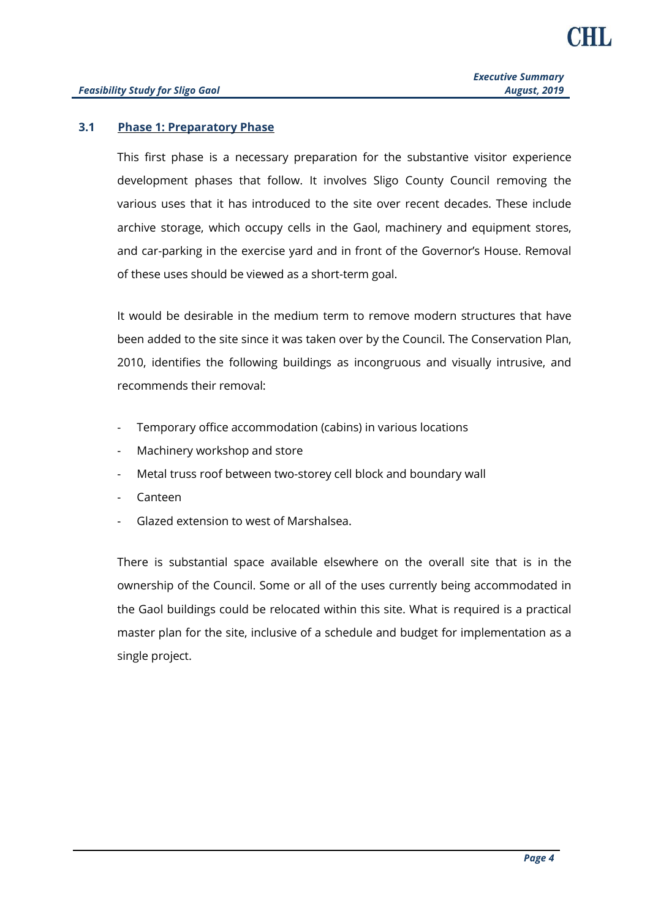#### **3.1 Phase 1: Preparatory Phase**

This first phase is a necessary preparation for the substantive visitor experience development phases that follow. It involves Sligo County Council removing the various uses that it has introduced to the site over recent decades. These include archive storage, which occupy cells in the Gaol, machinery and equipment stores, and car-parking in the exercise yard and in front of the Governor's House. Removal of these uses should be viewed as a short-term goal.

It would be desirable in the medium term to remove modern structures that have been added to the site since it was taken over by the Council. The Conservation Plan, 2010, identifies the following buildings as incongruous and visually intrusive, and recommends their removal:

- Temporary office accommodation (cabins) in various locations
- Machinery workshop and store
- Metal truss roof between two-storey cell block and boundary wall
- Canteen
- Glazed extension to west of Marshalsea.

There is substantial space available elsewhere on the overall site that is in the ownership of the Council. Some or all of the uses currently being accommodated in the Gaol buildings could be relocated within this site. What is required is a practical master plan for the site, inclusive of a schedule and budget for implementation as a single project.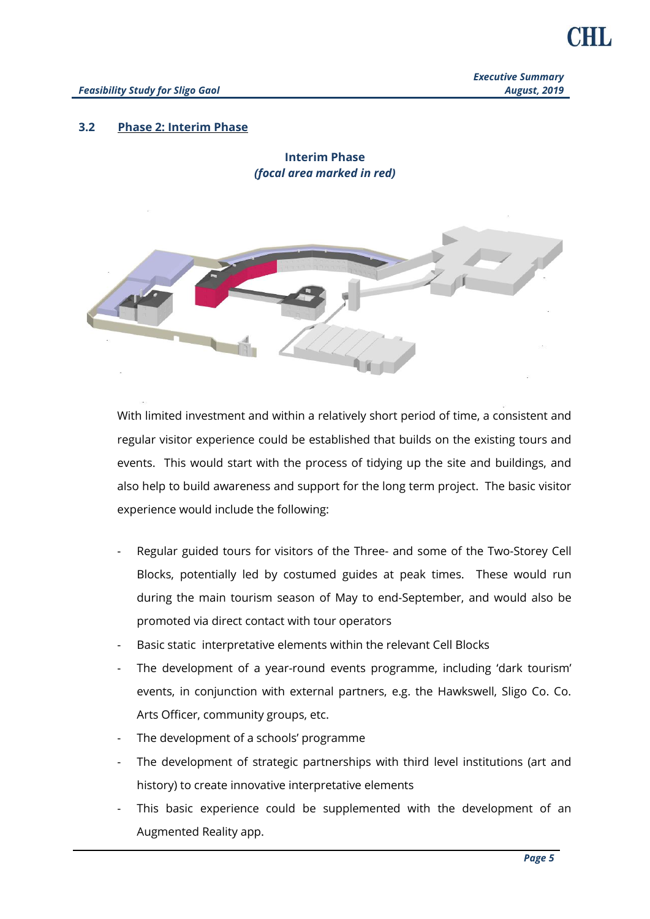*Executive Summary August, 2019*

#### **3.2 Phase 2: Interim Phase**

**Interim Phase** *(focal area marked in red)*



With limited investment and within a relatively short period of time, a consistent and regular visitor experience could be established that builds on the existing tours and events. This would start with the process of tidying up the site and buildings, and also help to build awareness and support for the long term project. The basic visitor experience would include the following:

- Regular guided tours for visitors of the Three- and some of the Two-Storey Cell Blocks, potentially led by costumed guides at peak times. These would run during the main tourism season of May to end-September, and would also be promoted via direct contact with tour operators
- Basic static interpretative elements within the relevant Cell Blocks
- The development of a year-round events programme, including 'dark tourism' events, in conjunction with external partners, e.g. the Hawkswell, Sligo Co. Co. Arts Officer, community groups, etc.
- The development of a schools' programme
- The development of strategic partnerships with third level institutions (art and history) to create innovative interpretative elements
- This basic experience could be supplemented with the development of an Augmented Reality app.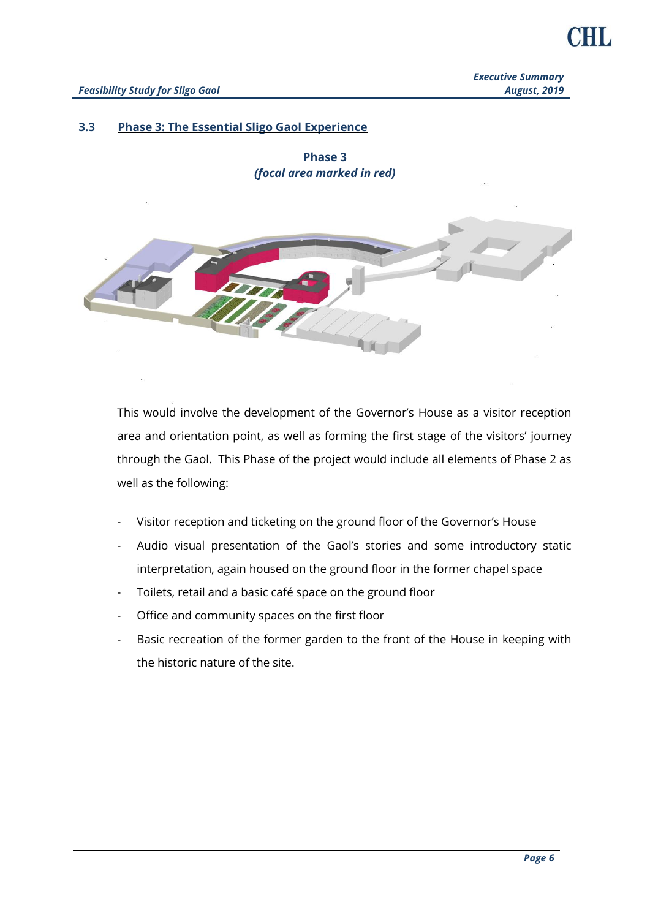#### **3.3 Phase 3: The Essential Sligo Gaol Experience**

**Phase 3** *(focal area marked in red)*



This would involve the development of the Governor's House as a visitor reception area and orientation point, as well as forming the first stage of the visitors' journey through the Gaol. This Phase of the project would include all elements of Phase 2 as well as the following:

- Visitor reception and ticketing on the ground floor of the Governor's House
- Audio visual presentation of the Gaol's stories and some introductory static interpretation, again housed on the ground floor in the former chapel space
- Toilets, retail and a basic café space on the ground floor
- Office and community spaces on the first floor
- Basic recreation of the former garden to the front of the House in keeping with the historic nature of the site.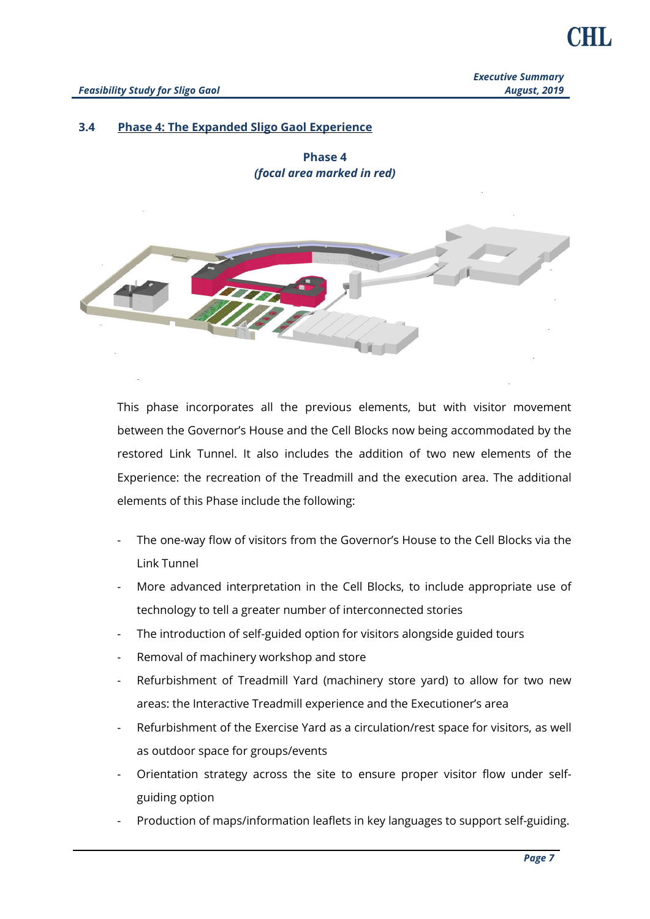#### **3.4 Phase 4: The Expanded Sligo Gaol Experience**

**Phase 4** *(focal area marked in red)*



This phase incorporates all the previous elements, but with visitor movement between the Governor's House and the Cell Blocks now being accommodated by the restored Link Tunnel. It also includes the addition of two new elements of the Experience: the recreation of the Treadmill and the execution area. The additional elements of this Phase include the following:

- The one-way flow of visitors from the Governor's House to the Cell Blocks via the Link Tunnel
- More advanced interpretation in the Cell Blocks, to include appropriate use of technology to tell a greater number of interconnected stories
- The introduction of self-guided option for visitors alongside guided tours
- Removal of machinery workshop and store
- Refurbishment of Treadmill Yard (machinery store yard) to allow for two new areas: the Interactive Treadmill experience and the Executioner's area
- Refurbishment of the Exercise Yard as a circulation/rest space for visitors, as well as outdoor space for groups/events
- Orientation strategy across the site to ensure proper visitor flow under selfguiding option
- Production of maps/information leaflets in key languages to support self-guiding.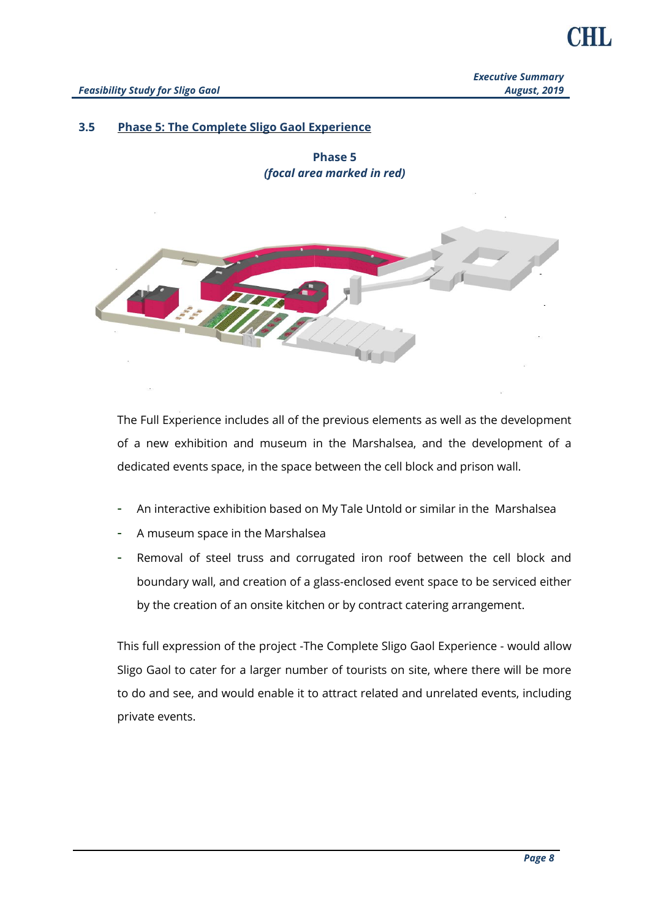#### **3.5 Phase 5: The Complete Sligo Gaol Experience**

**Phase 5** *(focal area marked in red)*



The Full Experience includes all of the previous elements as well as the development of a new exhibition and museum in the Marshalsea, and the development of a dedicated events space, in the space between the cell block and prison wall.

- An interactive exhibition based on My Tale Untold or similar in the Marshalsea
- A museum space in the Marshalsea
- Removal of steel truss and corrugated iron roof between the cell block and boundary wall, and creation of a glass-enclosed event space to be serviced either by the creation of an onsite kitchen or by contract catering arrangement.

This full expression of the project -The Complete Sligo Gaol Experience - would allow Sligo Gaol to cater for a larger number of tourists on site, where there will be more to do and see, and would enable it to attract related and unrelated events, including private events.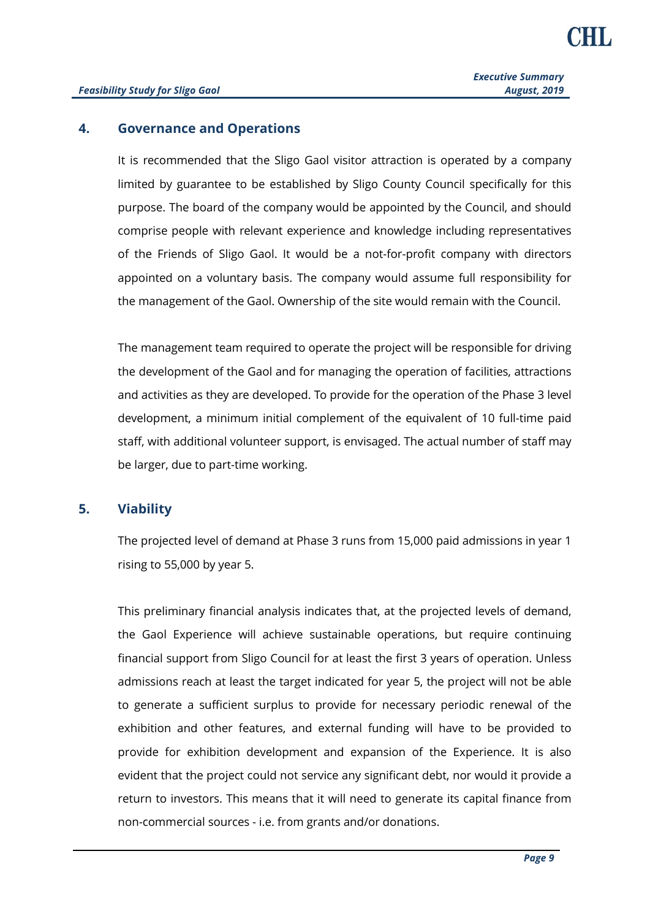#### **4. Governance and Operations**

It is recommended that the Sligo Gaol visitor attraction is operated by a company limited by guarantee to be established by Sligo County Council specifically for this purpose. The board of the company would be appointed by the Council, and should comprise people with relevant experience and knowledge including representatives of the Friends of Sligo Gaol. It would be a not-for-profit company with directors appointed on a voluntary basis. The company would assume full responsibility for the management of the Gaol. Ownership of the site would remain with the Council.

The management team required to operate the project will be responsible for driving the development of the Gaol and for managing the operation of facilities, attractions and activities as they are developed. To provide for the operation of the Phase 3 level development, a minimum initial complement of the equivalent of 10 full-time paid staff, with additional volunteer support, is envisaged. The actual number of staff may be larger, due to part-time working.

#### **5. Viability**

The projected level of demand at Phase 3 runs from 15,000 paid admissions in year 1 rising to 55,000 by year 5.

This preliminary financial analysis indicates that, at the projected levels of demand, the Gaol Experience will achieve sustainable operations, but require continuing financial support from Sligo Council for at least the first 3 years of operation. Unless admissions reach at least the target indicated for year 5, the project will not be able to generate a sufficient surplus to provide for necessary periodic renewal of the exhibition and other features, and external funding will have to be provided to provide for exhibition development and expansion of the Experience. It is also evident that the project could not service any significant debt, nor would it provide a return to investors. This means that it will need to generate its capital finance from non-commercial sources - i.e. from grants and/or donations.